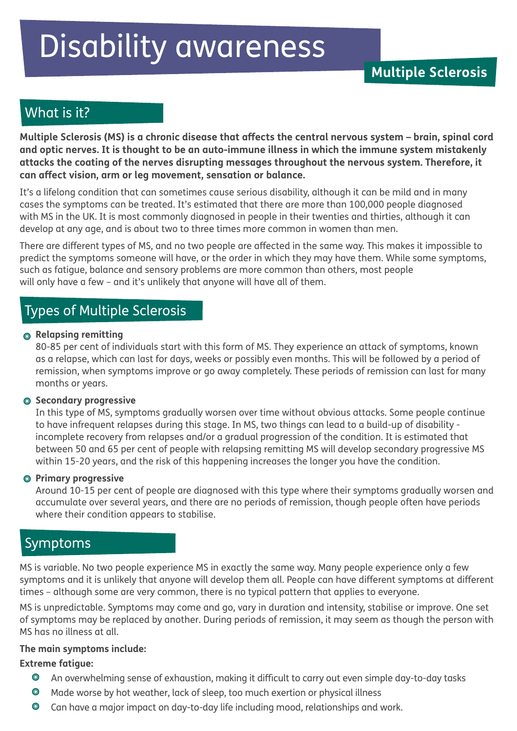# Disability awareness

# What is it?

**Multiple Sclerosis (MS) is a chronic disease that affects the central nervous system – brain, spinal cord and optic nerves. It is thought to be an auto-immune illness in which the immune system mistakenly attacks the coating of the nerves disrupting messages throughout the nervous system. Therefore, it can affect vision, arm or leg movement, sensation or balance.**

It's a lifelong condition that can sometimes cause serious disability, although it can be mild and in many cases the symptoms can be treated. It's estimated that there are more than 100,000 people diagnosed with MS in the UK. It is most commonly diagnosed in people in their twenties and thirties, although it can develop at any age, and is about two to three times more common in women than men.

There are different types of MS, and no two people are affected in the same way. This makes it impossible to predict the symptoms someone will have, or the order in which they may have them. While some symptoms, such as fatigue, balance and sensory problems are more common than others, most people will only have a few – and it's unlikely that anyone will have all of them.

# Types of Multiple Sclerosis

#### **Relapsing remitting**

80-85 per cent of individuals start with this form of MS. They experience an attack of symptoms, known as a relapse, which can last for days, weeks or possibly even months. This will be followed by a period of remission, when symptoms improve or go away completely. These periods of remission can last for many months or years.

#### **Secondary progressive**

In this type of MS, symptoms gradually worsen over time without obvious attacks. Some people continue to have infrequent relapses during this stage. In MS, two things can lead to a build-up of disability incomplete recovery from relapses and/or a gradual progression of the condition. It is estimated that between 50 and 65 per cent of people with relapsing remitting MS will develop secondary progressive MS within 15-20 years, and the risk of this happening increases the longer you have the condition.

#### **Primary progressive**

Around 10-15 per cent of people are diagnosed with this type where their symptoms gradually worsen and accumulate over several years, and there are no periods of remission, though people often have periods where their condition appears to stabilise.

## Symptoms

MS is variable. No two people experience MS in exactly the same way. Many people experience only a few symptoms and it is unlikely that anyone will develop them all. People can have different symptoms at different times – although some are very common, there is no typical pattern that applies to everyone.

MS is unpredictable. Symptoms may come and go, vary in duration and intensity, stabilise or improve. One set of symptoms may be replaced by another. During periods of remission, it may seem as though the person with MS has no illness at all.

#### **The main symptoms include:**

#### **Extreme fatigue:**

- $\bullet$ An overwhelming sense of exhaustion, making it difficult to carry out even simple day-to-day tasks
- $\bullet$ Made worse by hot weather, lack of sleep, too much exertion or physical illness
- $\bullet$ Can have a major impact on day-to-day life including mood, relationships and work.